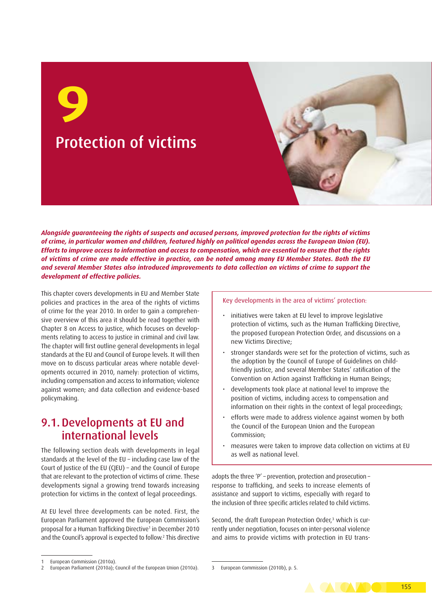Protection of victims **9**

*Alongside guaranteeing the rights of suspects and accused persons, improved protection for the rights of victims of crime, in particular women and children, featured highly on political agendas across the European Union (EU). Efforts to improve access to information and access to compensation, which are essential to ensure that the rights of victims of crime are made effective in practice, can be noted among many EU Member States. Both the EU and several Member States also introduced improvements to data collection on victims of crime to support the development of effective policies.*

This chapter covers developments in EU and Member State policies and practices in the area of the rights of victims of crime for the year 2010. In order to gain a comprehensive overview of this area it should be read together with Chapter 8 on Access to justice, which focuses on developments relating to access to justice in criminal and civil law. The chapter will first outline general developments in legal standards at the EU and Council of Europe levels. It will then move on to discuss particular areas where notable developments occurred in 2010, namely: protection of victims, including compensation and access to information; violence against women; and data collection and evidence-based policymaking.

## 9.1.Developments at EU and international levels

The following section deals with developments in legal standards at the level of the EU – including case law of the Court of Justice of the EU (CJEU) – and the Council of Europe that are relevant to the protection of victims of crime. These developments signal a growing trend towards increasing protection for victims in the context of legal proceedings.

At EU level three developments can be noted. First, the European Parliament approved the European Commission's proposal for a Human Trafficking Directive<sup>1</sup> in December 2010 and the Council's approval is expected to follow.2 This directive

#### Key developments in the area of victims' protection:

- initiatives were taken at EU level to improve legislative protection of victims, such as the Human Trafficking Directive, the proposed European Protection Order, and discussions on a new Victims Directive;
- stronger standards were set for the protection of victims, such as the adoption by the Council of Europe of Guidelines on childfriendly justice, and several Member States' ratification of the Convention on Action against Trafficking in Human Beings;
- developments took place at national level to improve the position of victims, including access to compensation and information on their rights in the context of legal proceedings;
- efforts were made to address violence against women by both the Council of the European Union and the European Commission;
- measures were taken to improve data collection on victims at EU as well as national level.

adopts the three 'P' – prevention, protection and prosecution – response to trafficking, and seeks to increase elements of assistance and support to victims, especially with regard to the inclusion of three specific articles related to child victims.

Second, the draft European Protection Order,<sup>3</sup> which is currently under negotiation, focuses on inter-personal violence and aims to provide victims with protection in EU trans-

European Commission (2010b), p. 5.



European Commission (2010a).

<sup>2</sup> European Parliament (2010a); Council of the European Union (2010a).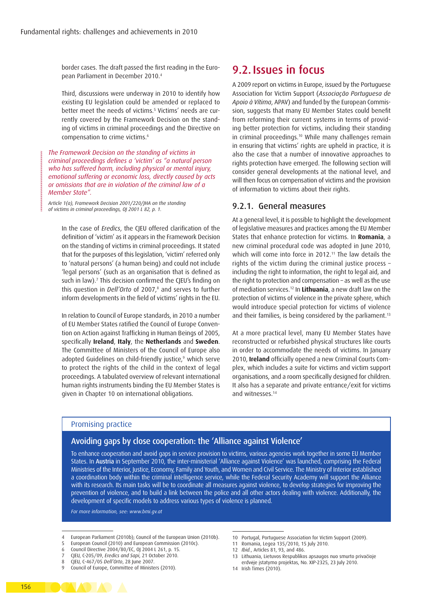border cases. The draft passed the first reading in the European Parliament in December 2010.4

Third, discussions were underway in 2010 to identify how existing EU legislation could be amended or replaced to better meet the needs of victims.5 Victims' needs are currently covered by the Framework Decision on the standing of victims in criminal proceedings and the Directive on compensation to crime victims.6

*The Framework Decision on the standing of victims in criminal proceedings defines a 'victim' as "a natural person who has suffered harm, including physical or mental injury, emotional suffering or economic loss, directly caused by acts or omissions that are in violation of the criminal law of a Member State".*

*Article 1(a), Framework Decision 2001/220/JHA on the standing of victims in criminal proceedings, OJ 2001 L 82, p. 1.*

**WANNAMARAMARAMARAMAR** 

**Contract** 

In the case of *Eredics*, the CJEU offered clarification of the definition of 'victim' as it appears in the Framework Decision on the standing of victims in criminal proceedings. It stated that for the purposes of this legislation, 'victim' referred only to 'natural persons' (a human being) and could not include 'legal persons' (such as an organisation that is defined as such in law).7 This decision confirmed the CJEU's finding on this question in *Dell'Orto* of 2007,<sup>8</sup> and serves to further inform developments in the field of victims' rights in the EU.

In relation to Council of Europe standards, in 2010 a number of EU Member States ratified the Council of Europe Convention on Action against Trafficking in Human Beings of 2005, specifically **Ireland**, **Italy**, the **Netherlands** and **Sweden**. The Committee of Ministers of the Council of Europe also adopted Guidelines on child-friendly justice,<sup>9</sup> which serve to protect the rights of the child in the context of legal proceedings. A tabulated overview of relevant international human rights instruments binding the EU Member States is given in Chapter 10 on international obligations.

### 9.2. Issues in focus

A 2009 report on victims in Europe, issued by the Portuguese Association for Victim Support (*Associação Portuguesa de Apoio à Vítima*, APAV) and funded by the European Commission, suggests that many EU Member States could benefit from reforming their current systems in terms of providing better protection for victims, including their standing in criminal proceedings.10 While many challenges remain in ensuring that victims' rights are upheld in practice, it is also the case that a number of innovative approaches to rights protection have emerged. The following section will consider general developments at the national level, and will then focus on compensation of victims and the provision of information to victims about their rights.

### 9.2.1. General measures

At a general level, it is possible to highlight the development of legislative measures and practices among the EU Member States that enhance protection for victims. In **Romania**, a new criminal procedural code was adopted in June 2010, which will come into force in 2012.<sup>11</sup> The law details the rights of the victim during the criminal justice process – including the right to information, the right to legal aid, and the right to protection and compensation – as well as the use of mediation services.12 In **Lithuania**, a new draft law on the protection of victims of violence in the private sphere, which would introduce special protection for victims of violence and their families, is being considered by the parliament.<sup>13</sup>

At a more practical level, many EU Member States have reconstructed or refurbished physical structures like courts in order to accommodate the needs of victims. In January 2010, **Ireland** officially opened a new Criminal Courts Complex, which includes a suite for victims and victim support organisations, and a room specifically designed for children. It also has a separate and private entrance/exit for victims and witnesses.14

### Promising practice

### Avoiding gaps by close cooperation: the 'Alliance against Violence'

To enhance cooperation and avoid gaps in service provision to victims, various agencies work together in some EU Member States. In Austria in September 2010, the inter-ministerial 'Alliance against Violence' was launched, comprising the Federal Ministries of the Interior, Justice, Economy, Family and Youth, and Women and Civil Service. The Ministry of Interior established a coordination body within the criminal intelligence service, while the Federal Security Academy will support the Alliance with its research. Its main tasks will be to coordinate all measures against violence, to develop strategies for improving the prevention of violence, and to build a link between the police and all other actors dealing with violence. Additionally, the development of specific models to address various types of violence is planned.

*For more information, see:<www.bmi.gv.at>*

- European Parliament (2010b); Council of the European Union (2010b).
- 5 European Council (2010) and European Commission (2010c).
- 6 Council Directive 2004/80/EC, OJ 2004 L 261, p. 15.
- 7 CJEU, C-205/09, *Eredics and Sapi*, 21 October 2010.
- 8 CJEU, C-467/05 *Dell'Orto*, 28 June 2007.
- Council of Europe, Committee of Ministers (2010).
- 10 Portugal, Portuguese Association for Victim Support (2009).
- 11 Romania, Legea 135/2010, 15 July 2010.
- 12 *Ibid.*, Articles 81, 93, and 486.
- 13 Lithuania, Lietuvos Respublikos apsaugos nuo smurto privačioje
- erdvėje įstatymo projektas, No. XIP-2325, 23 July 2010.
- 14 Irish Times (2010).

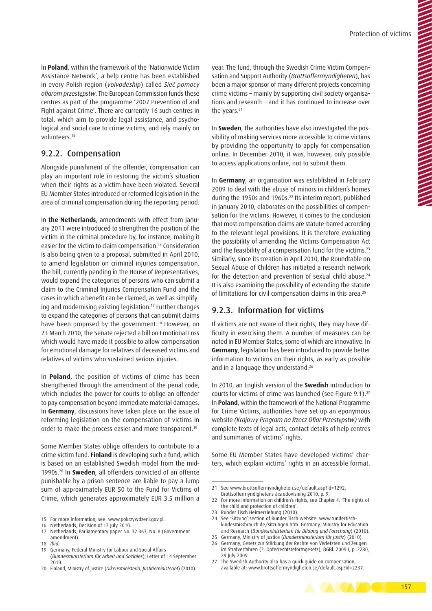In **Poland**, within the framework of the 'Nationwide Victim Assistance Network', a help centre has been established in every Polish region (*voivodeship*) called *Sieć pomocy ofiarom przestępstw*. The European Commission funds these centres as part of the programme '2007 Prevention of and Fight against Crime'. There are currently 16 such centres in total, which aim to provide legal assistance, and psychological and social care to crime victims, and rely mainly on volunteers.<sup>15</sup>

### 9.2.2. Compensation

Alongside punishment of the offender, compensation can play an important role in restoring the victim's situation when their rights as a victim have been violated. Several EU Member States introduced or reformed legislation in the area of criminal compensation during the reporting period.

In **the Netherlands**, amendments with effect from January 2011 were introduced to strengthen the position of the victim in the criminal procedure by, for instance, making it easier for the victim to claim compensation.<sup>16</sup> Consideration is also being given to a proposal, submitted in April 2010, to amend legislation on criminal injuries compensation. The bill, currently pending in the House of Representatives, would expand the categories of persons who can submit a claim to the Criminal Injuries Compensation Fund and the cases in which a benefit can be claimed, as well as simplifying and modernising existing legislation.17 Further changes to expand the categories of persons that can submit claims have been proposed by the government.<sup>18</sup> However, on 23 March 2010, the Senate rejected a bill on Emotional Loss which would have made it possible to allow compensation for emotional damage for relatives of deceased victims and relatives of victims who sustained serious injuries.

In **Poland**, the position of victims of crime has been strengthened through the amendment of the penal code, which includes the power for courts to oblige an offender to pay compensation beyond immediate material damages. In **Germany**, discussions have taken place on the issue of reforming legislation on the compensation of victims in order to make the process easier and more transparent.<sup>19</sup>

Some Member States oblige offenders to contribute to a crime victim fund. **Finland** is developing such a fund, which is based on an established Swedish model from the mid-1990s.20 In **Sweden**, all offenders convicted of an offence punishable by a prison sentence are liable to pay a lump sum of approximately EUR 50 to the Fund for Victims of Crime, which generates approximately EUR 3.5 million a

19 Germany, Federal Ministry for Labour and Social Affairs (*Bundesministerium für Arbeit und Soziales*), Letter of 14 September 2010.

year. The fund, through the Swedish Crime Victim Compensation and Support Authority (*Brottsoffermyndigheten*), has been a major sponsor of many different projects concerning crime victims – mainly by supporting civil society organisations and research – and it has continued to increase over the years.<sup>21</sup>

In **Sweden**, the authorities have also investigated the possibility of making services more accessible to crime victims by providing the opportunity to apply for compensation online. In December 2010, it was, however, only possible to access applications online, not to submit them.

In **Germany**, an organisation was established in February 2009 to deal with the abuse of minors in children's homes during the 1950s and 1960s.<sup>22</sup> Its interim report, published in January 2010, elaborates on the possibilities of compensation for the victims. However, it comes to the conclusion that most compensation claims are statute-barred according to the relevant legal provisions. It is therefore evaluating the possibility of amending the Victims Compensation Act and the feasibility of a compensation fund for the victims.<sup>23</sup> Similarly, since its creation in April 2010, the Roundtable on Sexual Abuse of Children has initiated a research network for the detection and prevention of sexual child abuse.24 It is also examining the possibility of extending the statute of limitations for civil compensation claims in this area.25

### 9.2.3. Information for victims

If victims are not aware of their rights, they may have difficulty in exercising them. A number of measures can be noted in EU Member States, some of which are innovative. In **Germany**, legislation has been introduced to provide better information to victims on their rights, as early as possible and in a language they understand.<sup>26</sup>

In 2010, an English version of the **Swedish** introduction to courts for victims of crime was launched (see Figure 9.1).<sup>27</sup> In **Poland**, within the framework of the National Programme for Crime Victims, authorities have set up an eponymous website *(Krajowy Program na Rzecz Ofiar Przestępstw)* with complete texts of legal acts, contact details of help centres and summaries of victims' rights.

Some EU Member States have developed victims' charters, which explain victims' rights in an accessible format.

<sup>27</sup> The Swedish Authority also has a quick guide on compensation, available at:<www.brottsoffermyndigheten.se/default.asp?id=2237>.



<sup>15</sup> For more information, see:<www.pokrzywdzeni.gov.pl>.

<sup>16</sup> Netherlands, Decision of 13 July 2010.

<sup>17</sup> Netherlands, Parliamentary paper No. 32 363, No. 8 (Government amendment).

<sup>18</sup> *Ibid.*

<sup>20</sup> Finland, Ministry of Justice (*Oikeusministeriö, Justitieministeriet*) (2010).

<sup>21</sup> See<www.brottsoffermyndigheten.se/default.asp?id=1292>, Brottsoffermyndighetens årsredovisning 2010, p. 9.

<sup>22</sup> For more information on children's rights, see Chapter 4, 'The rights of the child and protection of children'.

<sup>23</sup> Runder Tisch Heimerziehung (2010).

<sup>24</sup> See 'Sitzung' section of Runder Tisch website: [www.rundertisch](http://www.rundertisch-kindesmissbrauch.de/sitzungen.htm)[kindesmissbrauch.de/sitzungen.htm](http://www.rundertisch-kindesmissbrauch.de/sitzungen.htm). Germany, Ministry for Education and Research (*Bundesministerium für Bildung und Forschung*) (2010).

<sup>25</sup> Germany, Ministry of Justice (*Bundesministerium für Justiz*) (2010).

<sup>26</sup> Germany, Gesetz zur Stärkung der Rechte von Verletzten und Zeugen im Strafverfahren (2. Opferrechtsreformgesetz), BGBl. 2009 I, p. 2280, 29 **July 2009**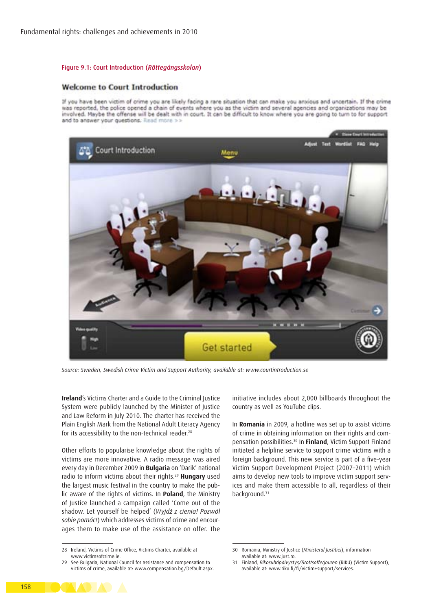### Figure 9.1: Court Introduction (*Rättegångsskolan*)

### **Welcome to Court Introduction**

If you have been victim of crime you are likely facing a rare situation that can make you anxious and uncertain. If the crime was reported, the police opened a chain of events where you as the victim and several agencies and organizations may be involved. Maybe the offense will be dealt with in court. It can be difficult to know where you are going to turn to for support and to answer your questions. Read more >>



*Source: Sweden, Swedish Crime Victim and Support Authority, available at: <www.courtintroduction.se>*

**Ireland**'s Victims Charter and a Guide to the Criminal Justice System were publicly launched by the Minister of Justice and Law Reform in July 2010. The charter has received the Plain English Mark from the National Adult Literacy Agency for its accessibility to the non-technical reader.<sup>28</sup>

Other efforts to popularise knowledge about the rights of victims are more innovative. A radio message was aired every day in December 2009 in **Bulgaria** on 'Darik' national radio to inform victims about their rights.29 **Hungary** used the largest music festival in the country to make the public aware of the rights of victims. In **Poland**, the Ministry of Justice launched a campaign called 'Come out of the shadow. Let yourself be helped' (*Wyjdź z cienia! Pozwól sobie pomóc!*) which addresses victims of crime and encourages them to make use of the assistance on offer. The

initiative includes about 2,000 billboards throughout the country as well as YouTube clips.

In **Romania** in 2009, a hotline was set up to assist victims of crime in obtaining information on their rights and compensation possibilities.30 In **Finland**, Victim Support Finland initiated a helpline service to support crime victims with a foreign background. This new service is part of a five-year Victim Support Development Project (2007–2011) which aims to develop new tools to improve victim support services and make them accessible to all, regardless of their background.<sup>31</sup>



<sup>28</sup> Ireland, Victims of Crime Office, Victims Charter, available at [www.victimsofcrime.ie.](www.victimsofcrime.ie)

<sup>29</sup> See Bulgaria, National Council for assistance and compensation to victims of crime, available at: <www.compensation.bg/Default.aspx>.

<sup>30</sup> Romania, Ministry of Justice (*Ministerul Justitiei*), information available at: [www.just.ro.](www.just.ro)

<sup>31</sup> Finland, *Rikosuhripäivystys/Brottsofferjouren* (RIKU) (Victim Support), available at: <www.riku.fi/fi/victim+support/services>.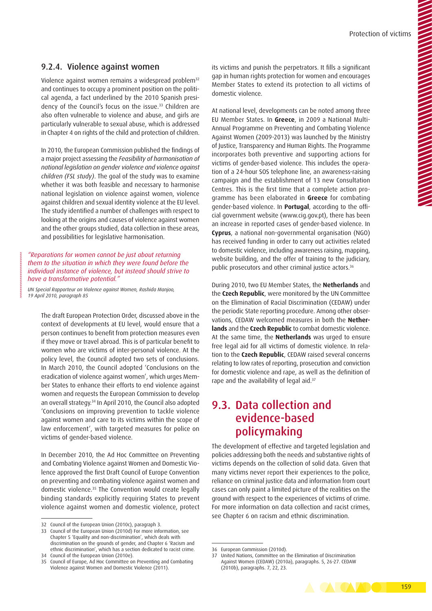### 9.2.4. Violence against women

Violence against women remains a widespread problem<sup>32</sup> and continues to occupy a prominent position on the political agenda, a fact underlined by the 2010 Spanish presidency of the Council's focus on the issue.<sup>33</sup> Children are also often vulnerable to violence and abuse, and girls are particularly vulnerable to sexual abuse, which is addressed in Chapter 4 on rights of the child and protection of children.

In 2010, the European Commission published the findings of a major project assessing the *Feasibility of harmonisation of national legislation on gender violence and violence against children (FSL study)*. The goal of the study was to examine whether it was both feasible and necessary to harmonise national legislation on violence against women, violence against children and sexual identity violence at the EU level. The study identified a number of challenges with respect to looking at the origins and causes of violence against women and the other groups studied, data collection in these areas, and possibilities for legislative harmonisation.

### *"Reparations for women cannot be just about returning them to the situation in which they were found before the individual instance of violence, but instead should strive to have a transformative potential."*

*UN Special Rapporteur on Violence against Women, Rashida Manjoo, 19 April 2010, paragraph 85* 

The draft European Protection Order, discussed above in the context of developments at EU level, would ensure that a person continues to benefit from protection measures even if they move or travel abroad. This is of particular benefit to women who are victims of inter-personal violence. At the policy level, the Council adopted two sets of conclusions. In March 2010, the Council adopted 'Conclusions on the eradication of violence against women', which urges Member States to enhance their efforts to end violence against women and requests the European Commission to develop an overall strategy.34 In April 2010, the Council also adopted 'Conclusions on improving prevention to tackle violence against women and care to its victims within the scope of law enforcement', with targeted measures for police on victims of gender-based violence.

In December 2010, the Ad Hoc Committee on Preventing and Combating Violence against Women and Domestic Violence approved the first Draft Council of Europe Convention on preventing and combating violence against women and domestic violence.35 The Convention would create legally binding standards explicitly requiring States to prevent violence against women and domestic violence, protect its victims and punish the perpetrators. It fills a significant gap in human rights protection for women and encourages Member States to extend its protection to all victims of domestic violence.

At national level, developments can be noted among three EU Member States. In **Greece**, in 2009 a National Multi-Annual Programme on Preventing and Combating Violence Against Women (2009-2013) was launched by the Ministry of Justice, Transparency and Human Rights. The Programme incorporates both preventive and supporting actions for victims of gender-based violence. This includes the operation of a 24-hour SOS telephone line, an awareness-raising campaign and the establishment of 13 new Consultation Centres. This is the first time that a complete action programme has been elaborated in **Greece** for combating gender-based violence. In **Portugal**, according to the official government website [\(www.cig.gov.pt\)](www.cig.gov.pt), there has been an increase in reported cases of gender-based violence. In **Cyprus**, a national non-governmental organisation (NGO) has received funding in order to carry out activities related to domestic violence, including awareness raising, mapping, website building, and the offer of training to the judiciary, public prosecutors and other criminal justice actors.36

During 2010, two EU Member States, the **Netherlands** and the **Czech Republic**, were monitored by the UN Committee on the Elimination of Racial Discrimination (CEDAW) under the periodic State reporting procedure. Among other observations, CEDAW welcomed measures in both the **Netherlands** and the **Czech Republic** to combat domestic violence. At the same time, the **Netherlands** was urged to ensure free legal aid for all victims of domestic violence. In relation to the **Czech Republic**, CEDAW raised several concerns relating to low rates of reporting, prosecution and conviction for domestic violence and rape, as well as the definition of rape and the availability of legal aid.<sup>37</sup>

## 9.3. Data collection and evidence-based policymaking

The development of effective and targeted legislation and policies addressing both the needs and substantive rights of victims depends on the collection of solid data. Given that many victims never report their experiences to the police, reliance on criminal justice data and information from court cases can only paint a limited picture of the realities on the ground with respect to the experiences of victims of crime. For more information on data collection and racist crimes, see Chapter 6 on racism and ethnic discrimination.



<sup>32</sup> Council of the European Union (2010c), paragraph 3.

<sup>33</sup> Council of the European Union (2010d) For more information, see Chapter 5 'Equality and non-discrimination', which deals with discrimination on the grounds of gender, and Chapter 6 'Racism and ethnic discrimination', which has a section dedicated to racist crime.

<sup>34</sup> Council of the European Union (2010e).

Council of Europe, Ad Hoc Committee on Preventing and Combating Violence against Women and Domestic Violence (2011).

<sup>36</sup> European Commission (2010d).

<sup>37</sup> United Nations, Committee on the Elimination of Discrimination Against Women (CEDAW) (2010a), paragraphs. 5, 26-27. CEDAW (2010b), paragraphs. 7, 22, 23.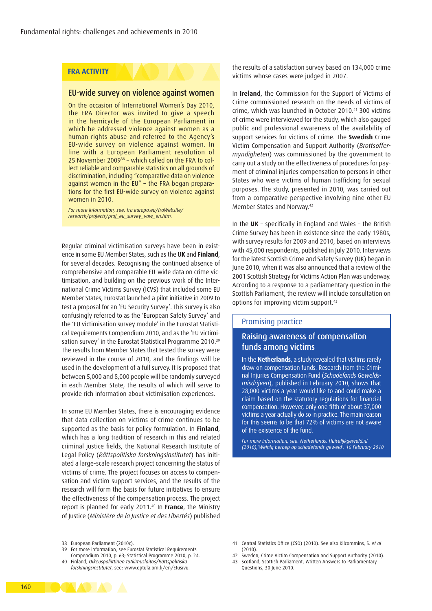### **FRA ACTIVITY**

### EU-wide survey on violence against women

On the occasion of International Women's Day 2010, the FRA Director was invited to give a speech in the hemicycle of the European Parliament in which he addressed violence against women as a human rights abuse and referred to the Agency's EU-wide survey on violence against women. In line with a European Parliament resolution of 25 November 200938 – which called on the FRA to collect reliable and comparable statistics on all grounds of discrimination, including "comparative data on violence against women in the EU" – the FRA began preparations for the first EU-wide survey on violence against women in 2010.

*For more information, see: fra.europa.eu/fraWebsite/ research/projects/proj\_eu\_survey\_vaw\_en.htm.* 

Regular criminal victimisation surveys have been in existence in some EU Member States, such as the **UK** and **Finland**, for several decades. Recognising the continued absence of comprehensive and comparable EU-wide data on crime victimisation, and building on the previous work of the International Crime Victims Survey (ICVS) that included some EU Member States, Eurostat launched a pilot initiative in 2009 to test a proposal for an 'EU Security Survey'. This survey is also confusingly referred to as the 'European Safety Survey' and the 'EU victimisation survey module' in the Eurostat Statistical Requirements Compendium 2010, and as the 'EU victimisation survey' in the Eurostat Statistical Programme 2010.<sup>39</sup> The results from Member States that tested the survey were reviewed in the course of 2010, and the findings will be used in the development of a full survey. It is proposed that between 5,000 and 8,000 people will be randomly surveyed in each Member State, the results of which will serve to provide rich information about victimisation experiences.

In some EU Member States, there is encouraging evidence that data collection on victims of crime continues to be supported as the basis for policy formulation. In **Finland**, which has a long tradition of research in this and related criminal justice fields, the National Research Institute of Legal Policy (*Rättspolitiska forskningsinstitutet*) has initiated a large-scale research project concerning the status of victims of crime. The project focuses on access to compensation and victim support services, and the results of the research will form the basis for future initiatives to ensure the effectiveness of the compensation process. The project report is planned for early 2011.40 In **France**, the Ministry of Justice (*Ministère de la Justice et des Libertés*) published

the results of a satisfaction survey based on 134,000 crime victims whose cases were judged in 2007.

In **Ireland**, the Commission for the Support of Victims of Crime commissioned research on the needs of victims of crime, which was launched in October 2010.41 300 victims of crime were interviewed for the study, which also gauged public and professional awareness of the availability of support services for victims of crime. The **Swedish** Crime Victim Compensation and Support Authority (*Brottsoffermyndigheten*) was commissioned by the government to carry out a study on the effectiveness of procedures for payment of criminal injuries compensation to persons in other States who were victims of human trafficking for sexual purposes. The study, presented in 2010, was carried out from a comparative perspective involving nine other EU Member States and Norway.42

In the **UK** – specifically in England and Wales – the British Crime Survey has been in existence since the early 1980s, with survey results for 2009 and 2010, based on interviews with 45,000 respondents, published in July 2010. Interviews for the latest Scottish Crime and Safety Survey (UK) began in June 2010, when it was also announced that a review of the 2001 Scottish Strategy for Victims Action Plan was underway. According to a response to a parliamentary question in the Scottish Parliament, the review will include consultation on options for improving victim support.43

### Promising practice

### Raising awareness of compensation funds among victims

In the **Netherlands**, a study revealed that victims rarely draw on compensation funds. Research from the Criminal Injuries Compensation Fund (*Schadefonds Geweldsmisdrijven*), published in February 2010, shows that 28,000 victims a year would like to and could make a claim based on the statutory regulations for financial compensation. However, only one fifth of about 37,000 victims a year actually do so in practice. The main reason for this seems to be that 72% of victims are not aware of the existence of the fund.

*For more information, see: Netherlands, Huiselijkgeweld.nl (2010),'Weinig beroep op schadefonds geweld', 16 February 2010*



<sup>38</sup> European Parliament (2010c).

<sup>39</sup> For more information, see Eurostat Statistical Requirements Compendium 2010, p. 63; Statistical Programme 2010, p. 24.

<sup>40</sup> Finland, *Oikeuspoliittinen tutkimuslaitos/Rättspolitiska forskningsinstitutet*, see: [www.optula.om.fi/en/Etusivu.](www.optula.om.fi/en/Etusivu)

<sup>41</sup> Central Statistics Office (CSO) (2010). See also Kilcommins, S. *et al* (2010).

<sup>42</sup> Sweden, Crime Victim Compensation and Support Authority (2010).

<sup>43</sup> Scotland, Scottish Parliament, Written Answers to Parliamentary Questions, 30 June 2010.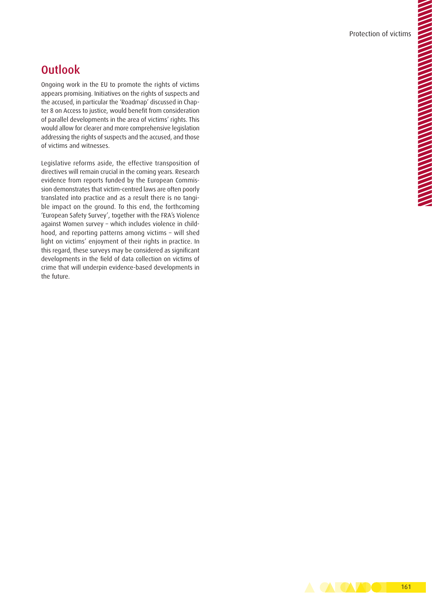## **Outlook**

Ongoing work in the EU to promote the rights of victims appears promising. Initiatives on the rights of suspects and the accused, in particular the 'Roadmap' discussed in Chapter 8 on Access to justice, would benefit from consideration of parallel developments in the area of victims' rights. This would allow for clearer and more comprehensive legislation addressing the rights of suspects and the accused, and those of victims and witnesses.

Legislative reforms aside, the effective transposition of directives will remain crucial in the coming years. Research evidence from reports funded by the European Commission demonstrates that victim-centred laws are often poorly translated into practice and as a result there is no tangible impact on the ground. To this end, the forthcoming 'European Safety Survey', together with the FRA's Violence against Women survey – which includes violence in childhood, and reporting patterns among victims – will shed light on victims' enjoyment of their rights in practice. In this regard, these surveys may be considered as significant developments in the field of data collection on victims of crime that will underpin evidence-based developments in the future.

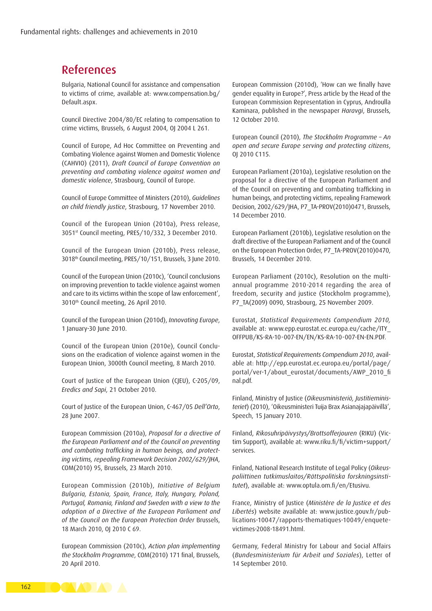## References

Bulgaria, National Council for assistance and compensation to victims of crime, available at: [www.compensation.bg/](www.compensation.bg/Default.aspx) [Default.aspx.](www.compensation.bg/Default.aspx)

Council Directive 2004/80/EC relating to compensation to crime victims, Brussels, 6 August 2004, OJ 2004 L 261.

Council of Europe, Ad Hoc Committee on Preventing and Combating Violence against Women and Domestic Violence (CAHVIO) (2011), *Draft Council of Europe Convention on preventing and combating violence against women and domestic violence*, Strasbourg, Council of Europe.

Council of Europe Committee of Ministers (2010), *Guidelines on child friendly justice*, Strasbourg, 17 November 2010.

Council of the European Union (2010a), Press release, 3051st Council meeting, PRES/10/332, 3 December 2010.

Council of the European Union (2010b), Press release, 3018th Council meeting, PRES/10/151, Brussels, 3 June 2010.

Council of the European Union (2010c), 'Council conclusions on improving prevention to tackle violence against women and care to its victims within the scope of law enforcement', 3010th Council meeting, 26 April 2010.

Council of the European Union (2010d), *Innovating Europe*, 1 January-30 June 2010.

Council of the European Union (2010e), Council Conclusions on the eradication of violence against women in the European Union, 3000th Council meeting, 8 March 2010.

Court of Justice of the European Union (CJEU), C-205/09, *Eredics and Sapi*, 21 October 2010.

Court of Justice of the European Union, C-467/05 *Dell'Orto*, 28 June 2007.

European Commission (2010a), *Proposal for a directive of the European Parliament and of the Council on preventing and combating trafficking in human beings, and protecting victims, repealing Framework Decision 2002/629/JHA*, COM(2010) 95, Brussels, 23 March 2010.

European Commission (2010b), *Initiative of Belgium Bulgaria, Estonia, Spain, France, Italy, Hungary, Poland, Portugal, Romania, Finland and Sweden with a view to the adoption of a Directive of the European Parliament and of the Council on the European Protection Order* Brussels, 18 March 2010, OJ 2010 C 69.

European Commission (2010c), *Action plan implementing the Stockholm Programme*, COM(2010) 171 final, Brussels, 20 April 2010.

European Commission (2010d), 'How can we finally have gender equality in Europe?', Press article by the Head of the European Commission Representation in Cyprus, Androulla Kaminara, published in the newspaper *Haravgi*, Brussels, 12 October 2010.

European Council (2010), *The Stockholm Programme – An open and secure Europe serving and protecting citizens*, OJ 2010 C115.

European Parliament (2010a), Legislative resolution on the proposal for a directive of the European Parliament and of the Council on preventing and combating trafficking in human beings, and protecting victims, repealing Framework Decision, 2002/629/JHA, P7\_TA-PROV(2010)0471, Brussels, 14 December 2010.

European Parliament (2010b), Legislative resolution on the draft directive of the European Parliament and of the Council on the European Protection Order, P7\_TA-PROV(2010)0470, Brussels, 14 December 2010.

European Parliament (2010c), Resolution on the multiannual programme 2010-2014 regarding the area of freedom, security and justice (Stockholm programme), P7\_TA(2009) 0090, Strasbourg, 25 November 2009.

Eurostat, *Statistical Requirements Compendium 2010,*  available at: [www.epp.eurostat.ec.europa.eu/cache/ITY\\_](www.epp.eurostat.ec.europa.eu/cache/ITY_OFFPUB/KS-RA-10-007-EN/EN/KS-RA-10-007-EN-EN.PDF) [OFFPUB/KS-RA-10-007-EN/EN/KS-RA-10-007-EN-EN.PDF](www.epp.eurostat.ec.europa.eu/cache/ITY_OFFPUB/KS-RA-10-007-EN/EN/KS-RA-10-007-EN-EN.PDF).

Eurostat, *Statistical Requirements Compendium 2010*, available at: [http://epp.eurostat.ec.europa.eu/portal/page/](http://epp.eurostat.ec.europa.eu/portal/page/portal/ver-1/about_eurostat/documents/AWP_2010_final.pdf) [portal/ver-1/about\\_eurostat/documents/AWP\\_2010\\_fi](http://epp.eurostat.ec.europa.eu/portal/page/portal/ver-1/about_eurostat/documents/AWP_2010_final.pdf)  [nal.pdf](http://epp.eurostat.ec.europa.eu/portal/page/portal/ver-1/about_eurostat/documents/AWP_2010_final.pdf).

Finland, Ministry of Justice (*Oikeusministeriö, Justitieministeriet*) (2010), 'Oikeusministeri Tuija Brax Asianajajapäivillä', Speech, 15 January 2010.

Finland, *Rikosuhripäivystys/Brottsofferjouren* (RIKU) (Victim Support), available at: [www.riku.fi/fi/victim+support/](www.riku.fi/fi/victim+support/services) [services.](www.riku.fi/fi/victim+support/services)

Finland, National Research Institute of Legal Policy (*Oikeuspoliittinen tutkimuslaitos/Rättspolitiska forskningsinstitutet*), available at: <www.optula.om.fi/en/Etusivu>.

France, Ministry of Justice (*Ministère de la Justice et des Libertés*) website available at: [www.justice.gouv.fr/pub](www.justice.gouv.fr/publications-10047/rapports-thematiques-10049/enquete-victimes-2008-18491.html)[lications-10047/rapports-thematiques-10049/enquete](www.justice.gouv.fr/publications-10047/rapports-thematiques-10049/enquete-victimes-2008-18491.html)[victimes-2008-18491.html](www.justice.gouv.fr/publications-10047/rapports-thematiques-10049/enquete-victimes-2008-18491.html).

Germany, Federal Ministry for Labour and Social Affairs (*Bundesministerium für Arbeit und Soziales*), Letter of 14 September 2010.

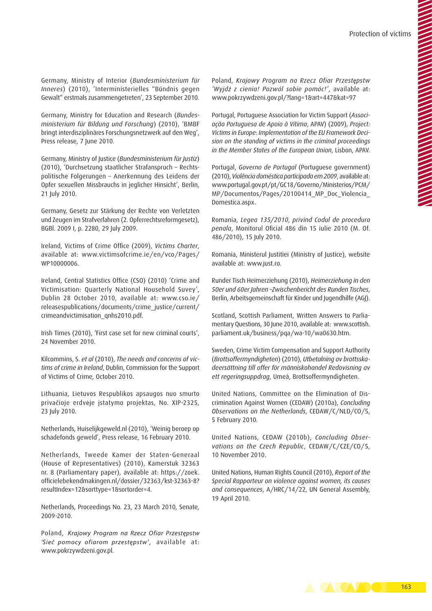Germany, Ministry of Interior (*Bundesministerium für Inneres*) (2010), 'Interministerielles "Bündnis gegen Gewalt" erstmals zusammengetreten', 23 September 2010.

Germany, Ministry for Education and Research (*Bundesministerium für Bildung und Forschung*) (2010), 'BMBF bringt interdisziplinäres Forschungsnetzwerk auf den Weg', Press release, 7 June 2010.

Germany, Ministry of Justice (*Bundesministerium für Justiz*) (2010), 'Durchsetzung staatlicher Strafanspruch – Rechtspolitische Folgerungen – Anerkennung des Leidens der Opfer sexuellen Missbrauchs in jeglicher Hinsicht', Berlin, 21 July 2010.

Germany, Gesetz zur Stärkung der Rechte von Verletzten und Zeugen im Strafverfahren (2. Opferrechtsreformgesetz), BGBl. 2009 I, p. 2280, 29 July 2009.

Ireland, Victims of Crime Office (2009), *Victims Charter*, available at: [www.victimsofcrime.ie/en/vco/Pages/](www.victimsofcrime.ie/en/vco/Pages/WP10000006) [WP10000006.](www.victimsofcrime.ie/en/vco/Pages/WP10000006)

Ireland, Central Statistics Office (CSO) (2010) 'Crime and Victimisation: Quarterly National Household Suvey', Dublin 28 October 2010, available at: [www.cso.ie/](www.cso.ie/releasespublications/documents/crime_justice/current/crimeandvictimisation_qnhs2010.pdf) [releasespublications/documents/crime\\_justice/current/](www.cso.ie/releasespublications/documents/crime_justice/current/crimeandvictimisation_qnhs2010.pdf) [crimeandvictimisation\\_qnhs2010.pdf](www.cso.ie/releasespublications/documents/crime_justice/current/crimeandvictimisation_qnhs2010.pdf).

Irish Times (2010), 'First case set for new criminal courts', 24 November 2010.

Kilcommins, S. *et al* (2010), *The needs and concerns of victims of crime in Ireland*, Dublin, Commission for the Support of Victims of Crime, October 2010.

Lithuania, Lietuvos Respublikos apsaugos nuo smurto privačioje erdvėje įstatymo projektas, No. XIP-2325, 23 July 2010.

Netherlands, Huiselijkgeweld.nl (2010), 'Weinig beroep op schadefonds geweld', Press release, 16 February 2010.

Netherlands, Tweede Kamer der Staten-Generaal (House of Representatives) (2010), Kamerstuk 32363 nr. 8 (Parliamentary paper), available at: [https://zoek.](https://zoek.officielebekendmakingen.nl/dossier/32363/kst-32363-8?resultIndex=12&sorttype=1&sortorder=4) [officielebekendmakingen.nl/dossier/32363/kst-32363-8?](https://zoek.officielebekendmakingen.nl/dossier/32363/kst-32363-8?resultIndex=12&sorttype=1&sortorder=4) [resultIndex=12&sorttype=1&sortorder=4](https://zoek.officielebekendmakingen.nl/dossier/32363/kst-32363-8?resultIndex=12&sorttype=1&sortorder=4).

Netherlands, Proceedings No. 23, 23 March 2010, Senate, 2009-2010.

Poland, *Krajowy Program na Rzecz Ofiar Przestępstw 'Sieć pomocy ofiarom przestępstw'*, available at: [www.pokrzywdzeni.gov.pl.](www.pokrzywdzeni.gov.pl)

Poland, *Krajowy Program na Rzecz Ofiar Przestępstw 'Wyjdź z cienia! Pozwól sobie pomóc!'*, available at: <www.pokrzywdzeni.gov.pl/?lang=1&art=447&kat=97>

Portugal, Portuguese Association for Victim Support (*Associação Portuguesa de Apoio à Vítima*, APAV) (2009), *Project: Victims in Europe: Implementation of the EU Framework Decision on the standing of victims in the criminal proceedings in the Member States of the European Union*, Lisbon, APAV.

Portugal, *Governo de Portugal* (Portuguese government) (2010), *Violência doméstica participada em 2009*, available at: [www.portugal.gov.pt/pt/GC18/Governo/Ministerios/PCM/](http://www.portugal.gov.pt/pt/GC18/Governo/Ministerios/PCM/MP/Documentos/Pages/20100414_MP_Doc_Violencia_Domestica.aspx) [MP/Documentos/Pages/20100414\\_MP\\_Doc\\_Violencia\\_](http://www.portugal.gov.pt/pt/GC18/Governo/Ministerios/PCM/MP/Documentos/Pages/20100414_MP_Doc_Violencia_Domestica.aspx) [Domestica.aspx.](http://www.portugal.gov.pt/pt/GC18/Governo/Ministerios/PCM/MP/Documentos/Pages/20100414_MP_Doc_Violencia_Domestica.aspx)

Romania, *Legea 135/2010*, *privind Codul de procedura penala*, Monitorul Oficial 486 din 15 iulie 2010 (M. Of. 486/2010), 15 July 2010.

Romania, Ministerul Justitiei (Ministry of Justice), website available at: [www.just.ro.](www.just.ro)

Runder Tisch Heimerziehung (2010), *Heimerziehung in den 50er und 60er Jahren –Zwischenbericht des Runden Tisches*, Berlin, Arbeitsgemeinschaft für Kinder und Jugendhilfe (AGJ).

Scotland, Scottish Parliament, Written Answers to Parliamentary Questions, 30 June 2010, available at: [www.scottish.](www.scottish.parliament.uk/business/pqa/wa-10/wa0630.htm) [parliament.uk/business/pqa/wa-10/wa0630.htm](www.scottish.parliament.uk/business/pqa/wa-10/wa0630.htm).

Sweden, Crime Victim Compensation and Support Authority (*Brottsoffermyndigheten*) (2010), *Utbetalning av brottsskadeersättning till offer för människohandel Redovisning av ett regeringsuppdrag*, Umeå, Brottsoffermyndigheten.

United Nations, Committee on the Elimination of Discrimination Against Women (CEDAW) (2010a), *Concluding Observations on the Netherlands*, CEDAW/C/NLD/CO/5, 5 February 2010.

United Nations, CEDAW (2010b), *Concluding Observations on the Czech Republic*, CEDAW/C/CZE/CO/5, 10 November 2010.

United Nations, Human Rights Council (2010), *Report of the Special Rapporteur on violence against women, its causes and consequences*, A/HRC/14/22, UN General Assembly, 19 April 2010.